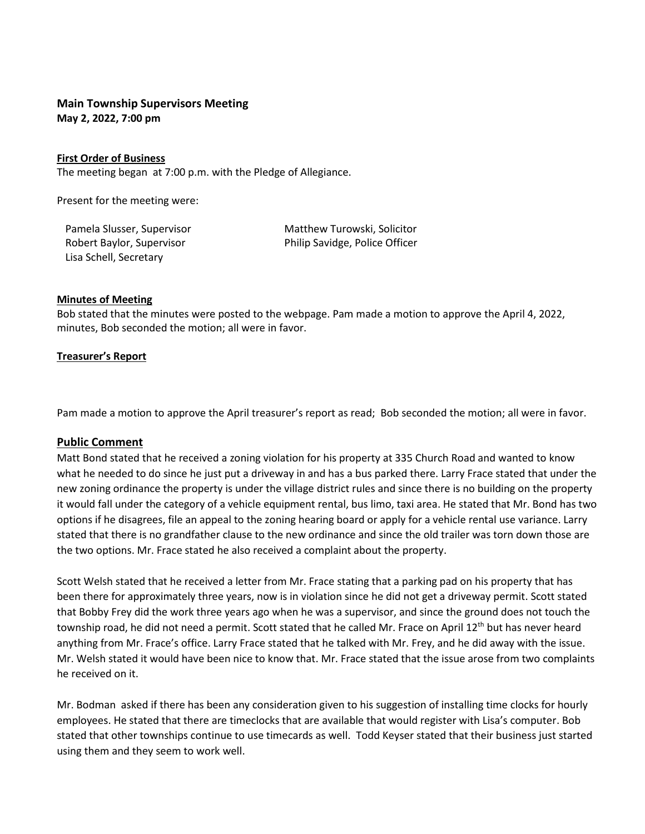# **Main Township Supervisors Meeting May 2, 2022, 7:00 pm**

### **First Order of Business**

The meeting began at 7:00 p.m. with the Pledge of Allegiance.

Present for the meeting were:

Lisa Schell, Secretary

Pamela Slusser, Supervisor **Matthew Turowski, Solicitor** Robert Baylor, Supervisor **Philip Savidge, Police Officer** 

#### **Minutes of Meeting**

Bob stated that the minutes were posted to the webpage. Pam made a motion to approve the April 4, 2022, minutes, Bob seconded the motion; all were in favor.

### **Treasurer's Report**

Pam made a motion to approve the April treasurer's report as read; Bob seconded the motion; all were in favor.

## **Public Comment**

Matt Bond stated that he received a zoning violation for his property at 335 Church Road and wanted to know what he needed to do since he just put a driveway in and has a bus parked there. Larry Frace stated that under the new zoning ordinance the property is under the village district rules and since there is no building on the property it would fall under the category of a vehicle equipment rental, bus limo, taxi area. He stated that Mr. Bond has two options if he disagrees, file an appeal to the zoning hearing board or apply for a vehicle rental use variance. Larry stated that there is no grandfather clause to the new ordinance and since the old trailer was torn down those are the two options. Mr. Frace stated he also received a complaint about the property.

Scott Welsh stated that he received a letter from Mr. Frace stating that a parking pad on his property that has been there for approximately three years, now is in violation since he did not get a driveway permit. Scott stated that Bobby Frey did the work three years ago when he was a supervisor, and since the ground does not touch the township road, he did not need a permit. Scott stated that he called Mr. Frace on April 12<sup>th</sup> but has never heard anything from Mr. Frace's office. Larry Frace stated that he talked with Mr. Frey, and he did away with the issue. Mr. Welsh stated it would have been nice to know that. Mr. Frace stated that the issue arose from two complaints he received on it.

Mr. Bodman asked if there has been any consideration given to his suggestion of installing time clocks for hourly employees. He stated that there are timeclocks that are available that would register with Lisa's computer. Bob stated that other townships continue to use timecards as well. Todd Keyser stated that their business just started using them and they seem to work well.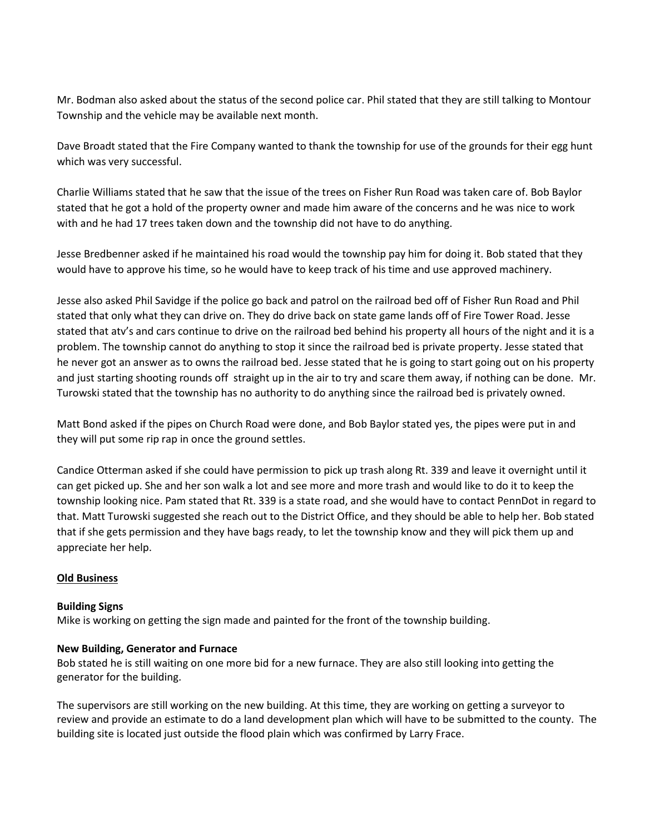Mr. Bodman also asked about the status of the second police car. Phil stated that they are still talking to Montour Township and the vehicle may be available next month.

Dave Broadt stated that the Fire Company wanted to thank the township for use of the grounds for their egg hunt which was very successful.

Charlie Williams stated that he saw that the issue of the trees on Fisher Run Road was taken care of. Bob Baylor stated that he got a hold of the property owner and made him aware of the concerns and he was nice to work with and he had 17 trees taken down and the township did not have to do anything.

Jesse Bredbenner asked if he maintained his road would the township pay him for doing it. Bob stated that they would have to approve his time, so he would have to keep track of his time and use approved machinery.

Jesse also asked Phil Savidge if the police go back and patrol on the railroad bed off of Fisher Run Road and Phil stated that only what they can drive on. They do drive back on state game lands off of Fire Tower Road. Jesse stated that atv's and cars continue to drive on the railroad bed behind his property all hours of the night and it is a problem. The township cannot do anything to stop it since the railroad bed is private property. Jesse stated that he never got an answer as to owns the railroad bed. Jesse stated that he is going to start going out on his property and just starting shooting rounds off straight up in the air to try and scare them away, if nothing can be done. Mr. Turowski stated that the township has no authority to do anything since the railroad bed is privately owned.

Matt Bond asked if the pipes on Church Road were done, and Bob Baylor stated yes, the pipes were put in and they will put some rip rap in once the ground settles.

Candice Otterman asked if she could have permission to pick up trash along Rt. 339 and leave it overnight until it can get picked up. She and her son walk a lot and see more and more trash and would like to do it to keep the township looking nice. Pam stated that Rt. 339 is a state road, and she would have to contact PennDot in regard to that. Matt Turowski suggested she reach out to the District Office, and they should be able to help her. Bob stated that if she gets permission and they have bags ready, to let the township know and they will pick them up and appreciate her help.

## **Old Business**

## **Building Signs**

Mike is working on getting the sign made and painted for the front of the township building.

## **New Building, Generator and Furnace**

Bob stated he is still waiting on one more bid for a new furnace. They are also still looking into getting the generator for the building.

The supervisors are still working on the new building. At this time, they are working on getting a surveyor to review and provide an estimate to do a land development plan which will have to be submitted to the county. The building site is located just outside the flood plain which was confirmed by Larry Frace.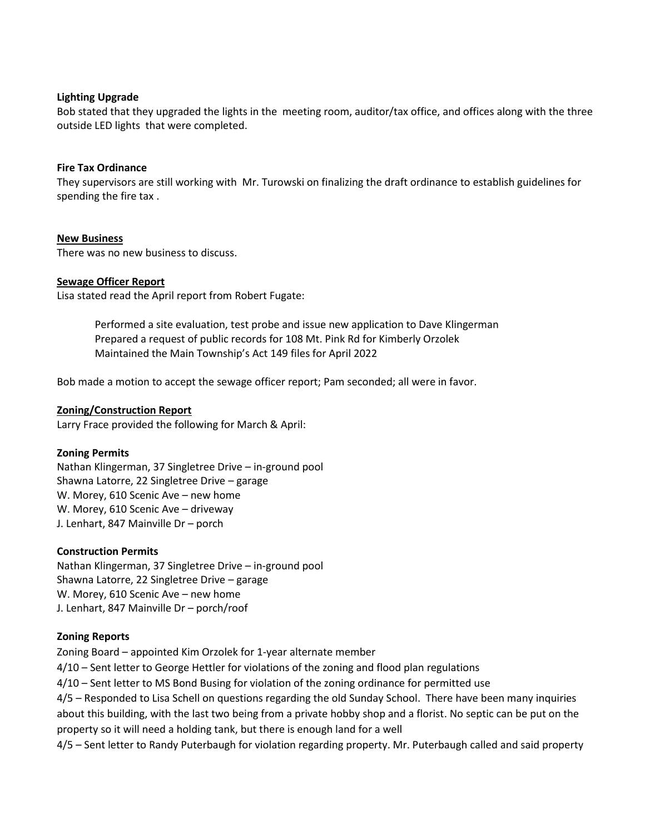### **Lighting Upgrade**

Bob stated that they upgraded the lights in the meeting room, auditor/tax office, and offices along with the three outside LED lights that were completed.

### **Fire Tax Ordinance**

They supervisors are still working with Mr. Turowski on finalizing the draft ordinance to establish guidelines for spending the fire tax .

### **New Business**

There was no new business to discuss.

### **Sewage Officer Report**

Lisa stated read the April report from Robert Fugate:

Performed a site evaluation, test probe and issue new application to Dave Klingerman Prepared a request of public records for 108 Mt. Pink Rd for Kimberly Orzolek Maintained the Main Township's Act 149 files for April 2022

Bob made a motion to accept the sewage officer report; Pam seconded; all were in favor.

#### **Zoning/Construction Report**

Larry Frace provided the following for March & April:

#### **Zoning Permits**

Nathan Klingerman, 37 Singletree Drive – in-ground pool Shawna Latorre, 22 Singletree Drive – garage W. Morey, 610 Scenic Ave – new home W. Morey, 610 Scenic Ave – driveway J. Lenhart, 847 Mainville Dr – porch

## **Construction Permits**

Nathan Klingerman, 37 Singletree Drive – in-ground pool Shawna Latorre, 22 Singletree Drive – garage W. Morey, 610 Scenic Ave – new home J. Lenhart, 847 Mainville Dr – porch/roof

## **Zoning Reports**

Zoning Board – appointed Kim Orzolek for 1-year alternate member

4/10 – Sent letter to George Hettler for violations of the zoning and flood plan regulations

4/10 – Sent letter to MS Bond Busing for violation of the zoning ordinance for permitted use

4/5 – Responded to Lisa Schell on questions regarding the old Sunday School. There have been many inquiries about this building, with the last two being from a private hobby shop and a florist. No septic can be put on the property so it will need a holding tank, but there is enough land for a well

4/5 – Sent letter to Randy Puterbaugh for violation regarding property. Mr. Puterbaugh called and said property